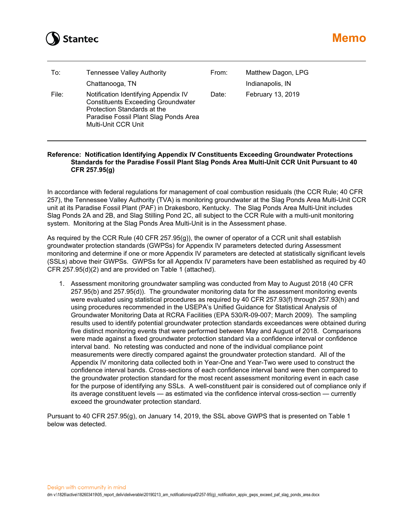

| To:   | <b>Tennessee Valley Authority</b><br>Chattanooga, TN                                                                                                                             | From: | Matthew Dagon, LPG<br>Indianapolis, IN |
|-------|----------------------------------------------------------------------------------------------------------------------------------------------------------------------------------|-------|----------------------------------------|
| File: | Notification Identifying Appendix IV<br><b>Constituents Exceeding Groundwater</b><br>Protection Standards at the<br>Paradise Fossil Plant Slag Ponds Area<br>Multi-Unit CCR Unit | Date: | February 13, 2019                      |

## **Reference: Notification Identifying Appendix IV Constituents Exceeding Groundwater Protections Standards for the Paradise Fossil Plant Slag Ponds Area Multi-Unit CCR Unit Pursuant to 40 CFR 257.95(g)**

In accordance with federal regulations for management of coal combustion residuals (the CCR Rule; 40 CFR 257), the Tennessee Valley Authority (TVA) is monitoring groundwater at the Slag Ponds Area Multi-Unit CCR unit at its Paradise Fossil Plant (PAF) in Drakesboro, Kentucky. The Slag Ponds Area Multi-Unit includes Slag Ponds 2A and 2B, and Slag Stilling Pond 2C, all subject to the CCR Rule with a multi-unit monitoring system. Monitoring at the Slag Ponds Area Multi-Unit is in the Assessment phase.

As required by the CCR Rule (40 CFR 257.95(g)), the owner of operator of a CCR unit shall establish groundwater protection standards (GWPSs) for Appendix IV parameters detected during Assessment monitoring and determine if one or more Appendix IV parameters are detected at statistically significant levels (SSLs) above their GWPSs. GWPSs for all Appendix IV parameters have been established as required by 40 CFR 257.95(d)(2) and are provided on Table 1 (attached).

1. Assessment monitoring groundwater sampling was conducted from May to August 2018 (40 CFR 257.95(b) and 257.95(d)). The groundwater monitoring data for the assessment monitoring events were evaluated using statistical procedures as required by 40 CFR 257.93(f) through 257.93(h) and using procedures recommended in the USEPA's Unified Guidance for Statistical Analysis of Groundwater Monitoring Data at RCRA Facilities (EPA 530/R-09-007; March 2009). The sampling results used to identify potential groundwater protection standards exceedances were obtained during five distinct monitoring events that were performed between May and August of 2018. Comparisons were made against a fixed groundwater protection standard via a confidence interval or confidence interval band. No retesting was conducted and none of the individual compliance point measurements were directly compared against the groundwater protection standard. All of the Appendix IV monitoring data collected both in Year-One and Year-Two were used to construct the confidence interval bands. Cross-sections of each confidence interval band were then compared to the groundwater protection standard for the most recent assessment monitoring event in each case for the purpose of identifying any SSLs. A well-constituent pair is considered out of compliance only if its average constituent levels — as estimated via the confidence interval cross-section — currently exceed the groundwater protection standard.

Pursuant to 40 CFR 257.95(g), on January 14, 2019, the SSL above GWPS that is presented on Table 1 below was detected.